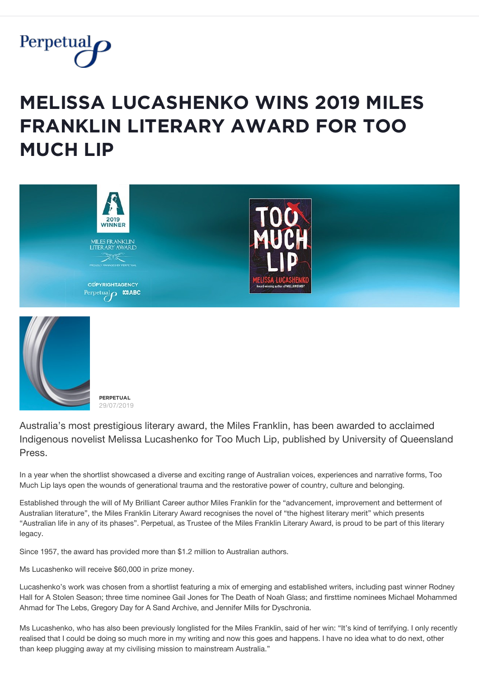

## **MELISSA LUCASHENKO WINS 2019 MILES FRANKLIN LITERARY AWARD FOR TOO MŲČĦ ĿİP**





**PERPETUAL** 29/07/2019

Australia's most prestigious literary award, the Miles Franklin, has been awarded to acclaimed Indigenous novelist Melissa Lucashenko for Too Much Lip, published by University of Queensland Press.

In a year when the shortlist showcased a diverse and exciting range of Australian voices, experiences and narrative forms, Too Much Lip lays open the wounds of generational trauma and the restorative power of country, culture and belonging.

Established through the will of My Brilliant Career author Miles Franklin for the "advancement, improvement and betterment of Australian literature", the Miles Franklin Literary Award recognises the novel of "the highest literary merit" which presents "Australian life in any of its phases". Perpetual, as Trustee of the Miles Franklin Literary Award, is proud to be part of this literary legacy.

Since 1957, the award has provided more than \$1.2 million to Australian authors.

Ms Lucashenko will receive \$60,000 in prize money.

Lucashenko's work was chosen from a shortlist featuring a mix of emerging and established writers, including past winner Rodney Hall for A Stolen Season; three time nominee Gail Jones for The Death of Noah Glass; and firsttime nominees Michael Mohammed Ahmad for The Lebs, Gregory Day for A Sand Archive, and Jennifer Mills for Dyschronia.

Ms Lucashenko, who has also been previously longlisted for the Miles Franklin, said of her win: "It's kind of terrifying. I only recently realised that I could be doing so much more in my writing and now this goes and happens. I have no idea what to do next, other than keep plugging away at my civilising mission to mainstream Australia."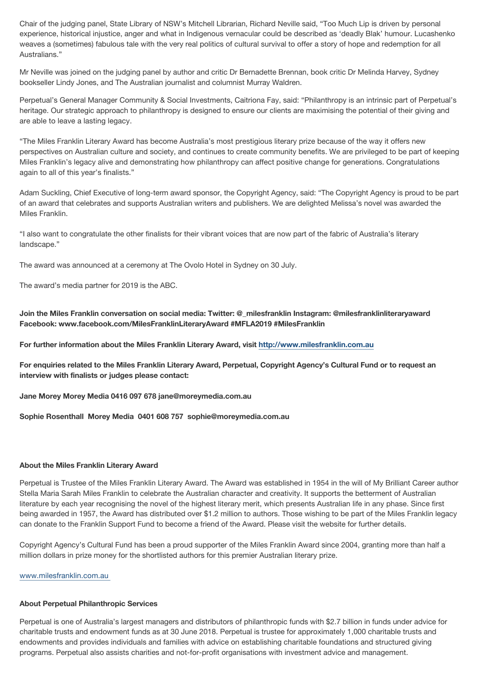Chair of the judging panel, State Library of NSW's Mitchell Librarian, Richard Neville said, "Too Much Lip is driven by personal experience, historical injustice, anger and what in Indigenous vernacular could be described as 'deadly Blak' humour. Lucashenko weaves a (sometimes) fabulous tale with the very real politics of cultural survival to offer a story of hope and redemption for all Australians."

Mr Neville was joined on the judging panel by author and critic Dr Bernadette Brennan, book critic Dr Melinda Harvey, Sydney bookseller Lindy Jones, and The Australian journalist and columnist Murray Waldren.

Perpetual's General Manager Community & Social Investments, Caitriona Fay, said: "Philanthropy is an intrinsic part of Perpetual's heritage. Our strategic approach to philanthropy is designed to ensure our clients are maximising the potential of their giving and are able to leave a lasting legacy.

"The Miles Franklin Literary Award has become Australia's most prestigious literary prize because of the way it offers new perspectives on Australian culture and society, and continues to create community benefits. We are privileged to be part of keeping Miles Franklin's legacy alive and demonstrating how philanthropy can affect positive change for generations. Congratulations again to all of this year's finalists."

Adam Suckling, Chief Executive of long-term award sponsor, the Copyright Agency, said: "The Copyright Agency is proud to be part of an award that celebrates and supports Australian writers and publishers. We are delighted Melissa's novel was awarded the Miles Franklin.

"I also want to congratulate the other finalists for their vibrant voices that are now part of the fabric of Australia's literary landscape."

The award was announced at a ceremony at The Ovolo Hotel in Sydney on 30 July.

The award's media partner for 2019 is the ABC.

**Join the Miles Franklin conversation on social media: Twitter: @\_milesfranklin Instagram: @milesfranklinliteraryaward Facebook: www.facebook.com/MilesFranklinLiteraryAward #MFLA2019 #MilesFranklin** 

**For further information about the Miles Franklin Literary Award, visit<http://www.milesfranklin.com.au>**

**For enquiries related to the Miles Franklin Literary Award, Perpetual, Copyright Agency's Cultural Fund or to request an interview with finalists or judges please contact:** 

**Jane Morey Morey Media 0416 097 678 jane@moreymedia.com.au** 

**Sophie Rosenthall Morey Media 0401 608 757 sophie@moreymedia.com.au** 

## **About the Miles Franklin Literary Award**

Perpetual is Trustee of the Miles Franklin Literary Award. The Award was established in 1954 in the will of My Brilliant Career author Stella Maria Sarah Miles Franklin to celebrate the Australian character and creativity. It supports the betterment of Australian literature by each year recognising the novel of the highest literary merit, which presents Australian life in any phase. Since first being awarded in 1957, the Award has distributed over \$1.2 million to authors. Those wishing to be part of the Miles Franklin legacy can donate to the Franklin Support Fund to become a friend of the Award. Please visit the website for further details.

Copyright Agency's Cultural Fund has been a proud supporter of the Miles Franklin Award since 2004, granting more than half a million dollars in prize money for the shortlisted authors for this premier Australian literary prize.

[www.milesfranklin.com.au](http://www.milesfranklin.com.au)

## **About Perpetual Philanthropic Services**

Perpetual is one of Australia's largest managers and distributors of philanthropic funds with \$2.7 billion in funds under advice for charitable trusts and endowment funds as at 30 June 2018. Perpetual is trustee for approximately 1,000 charitable trusts and endowments and provides individuals and families with advice on establishing charitable foundations and structured giving programs. Perpetual also assists charities and not-for-profit organisations with investment advice and management.